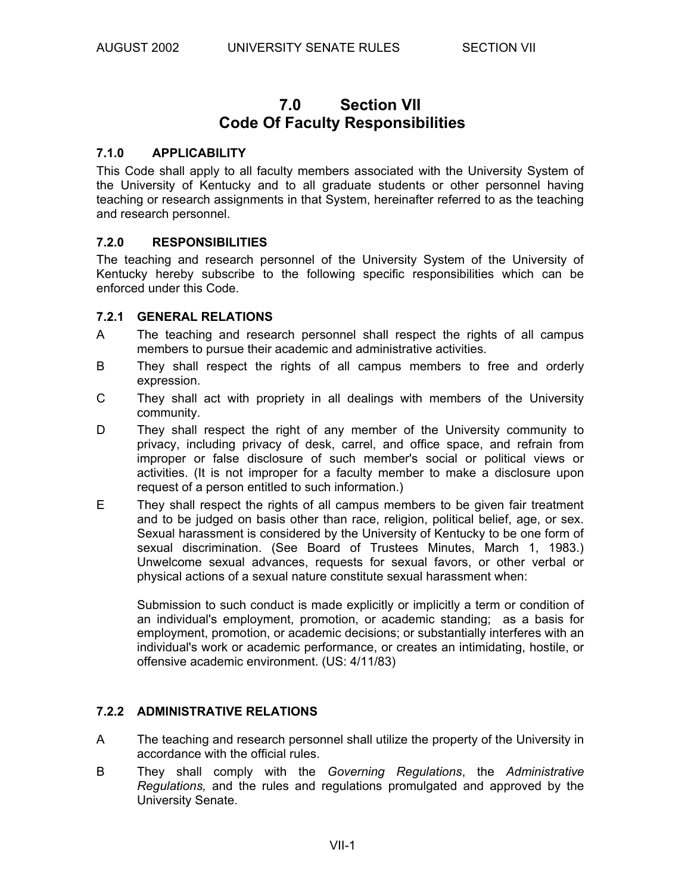# **7.0 Section VII Code Of Faculty Responsibilities**

## **7.1.0 APPLICABILITY**

This Code shall apply to all faculty members associated with the University System of the University of Kentucky and to all graduate students or other personnel having teaching or research assignments in that System, hereinafter referred to as the teaching and research personnel.

#### **7.2.0 RESPONSIBILITIES**

The teaching and research personnel of the University System of the University of Kentucky hereby subscribe to the following specific responsibilities which can be enforced under this Code.

## **7.2.1 GENERAL RELATIONS**

- A The teaching and research personnel shall respect the rights of all campus members to pursue their academic and administrative activities.
- B They shall respect the rights of all campus members to free and orderly expression.
- C They shall act with propriety in all dealings with members of the University community.
- D They shall respect the right of any member of the University community to privacy, including privacy of desk, carrel, and office space, and refrain from improper or false disclosure of such member's social or political views or activities. (It is not improper for a faculty member to make a disclosure upon request of a person entitled to such information.)
- E They shall respect the rights of all campus members to be given fair treatment and to be judged on basis other than race, religion, political belief, age, or sex. Sexual harassment is considered by the University of Kentucky to be one form of sexual discrimination. (See Board of Trustees Minutes, March 1, 1983.) Unwelcome sexual advances, requests for sexual favors, or other verbal or physical actions of a sexual nature constitute sexual harassment when:

 Submission to such conduct is made explicitly or implicitly a term or condition of an individual's employment, promotion, or academic standing; as a basis for employment, promotion, or academic decisions; or substantially interferes with an individual's work or academic performance, or creates an intimidating, hostile, or offensive academic environment. (US: 4/11/83)

## **7.2.2 ADMINISTRATIVE RELATIONS**

- A The teaching and research personnel shall utilize the property of the University in accordance with the official rules.
- B They shall comply with the *Governing Regulations*, the *Administrative Regulations,* and the rules and regulations promulgated and approved by the University Senate.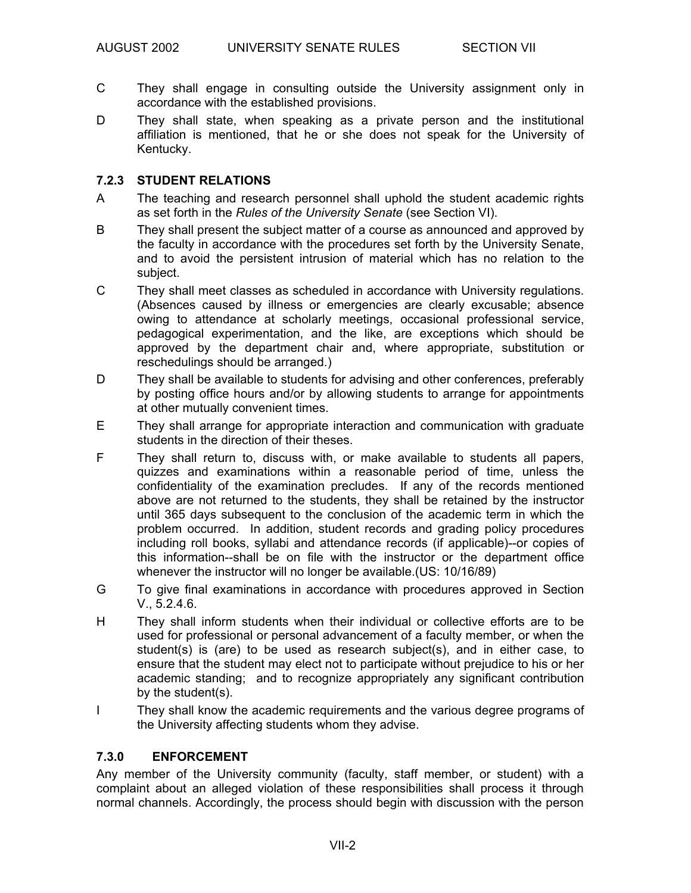- C They shall engage in consulting outside the University assignment only in accordance with the established provisions.
- D They shall state, when speaking as a private person and the institutional affiliation is mentioned, that he or she does not speak for the University of Kentucky.

# **7.2.3 STUDENT RELATIONS**

- A The teaching and research personnel shall uphold the student academic rights as set forth in the *Rules of the University Senate* (see Section VI).
- B They shall present the subject matter of a course as announced and approved by the faculty in accordance with the procedures set forth by the University Senate, and to avoid the persistent intrusion of material which has no relation to the subject.
- C They shall meet classes as scheduled in accordance with University regulations. (Absences caused by illness or emergencies are clearly excusable; absence owing to attendance at scholarly meetings, occasional professional service, pedagogical experimentation, and the like, are exceptions which should be approved by the department chair and, where appropriate, substitution or reschedulings should be arranged.)
- D They shall be available to students for advising and other conferences, preferably by posting office hours and/or by allowing students to arrange for appointments at other mutually convenient times.
- E They shall arrange for appropriate interaction and communication with graduate students in the direction of their theses.
- F They shall return to, discuss with, or make available to students all papers, quizzes and examinations within a reasonable period of time, unless the confidentiality of the examination precludes. If any of the records mentioned above are not returned to the students, they shall be retained by the instructor until 365 days subsequent to the conclusion of the academic term in which the problem occurred. In addition, student records and grading policy procedures including roll books, syllabi and attendance records (if applicable)--or copies of this information--shall be on file with the instructor or the department office whenever the instructor will no longer be available.(US: 10/16/89)
- G To give final examinations in accordance with procedures approved in Section V., 5.2.4.6.
- H They shall inform students when their individual or collective efforts are to be used for professional or personal advancement of a faculty member, or when the student(s) is (are) to be used as research subject(s), and in either case, to ensure that the student may elect not to participate without prejudice to his or her academic standing; and to recognize appropriately any significant contribution by the student(s).
- I They shall know the academic requirements and the various degree programs of the University affecting students whom they advise.

## **7.3.0 ENFORCEMENT**

Any member of the University community (faculty, staff member, or student) with a complaint about an alleged violation of these responsibilities shall process it through normal channels. Accordingly, the process should begin with discussion with the person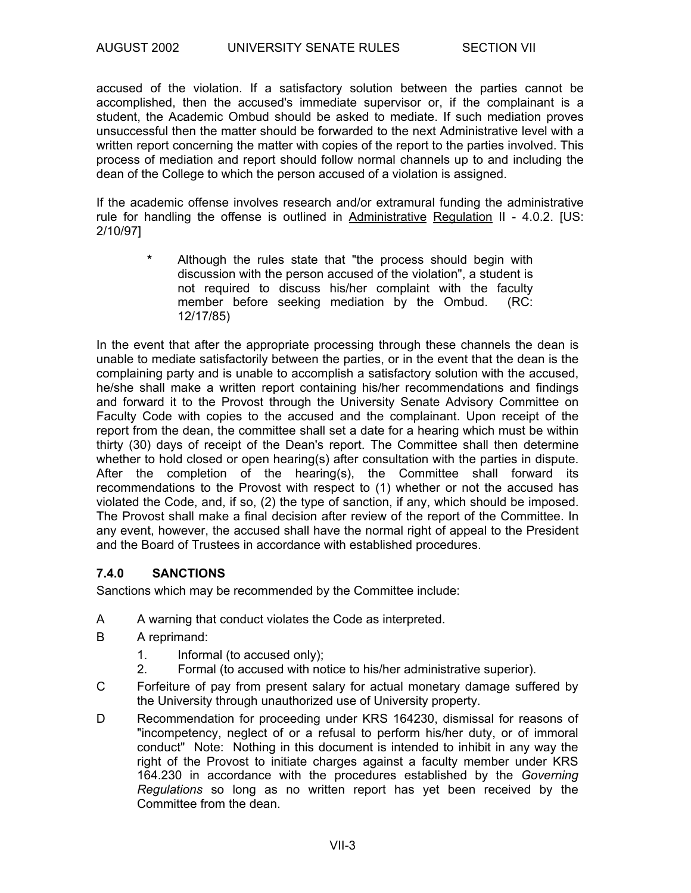accused of the violation. If a satisfactory solution between the parties cannot be accomplished, then the accused's immediate supervisor or, if the complainant is a student, the Academic Ombud should be asked to mediate. If such mediation proves unsuccessful then the matter should be forwarded to the next Administrative level with a written report concerning the matter with copies of the report to the parties involved. This process of mediation and report should follow normal channels up to and including the dean of the College to which the person accused of a violation is assigned.

If the academic offense involves research and/or extramural funding the administrative rule for handling the offense is outlined in Administrative Regulation II - 4.0.2. [US: 2/10/97]

> **\*** Although the rules state that "the process should begin with discussion with the person accused of the violation", a student is not required to discuss his/her complaint with the faculty member before seeking mediation by the Ombud. (RC: 12/17/85)

In the event that after the appropriate processing through these channels the dean is unable to mediate satisfactorily between the parties, or in the event that the dean is the complaining party and is unable to accomplish a satisfactory solution with the accused, he/she shall make a written report containing his/her recommendations and findings and forward it to the Provost through the University Senate Advisory Committee on Faculty Code with copies to the accused and the complainant. Upon receipt of the report from the dean, the committee shall set a date for a hearing which must be within thirty (30) days of receipt of the Dean's report. The Committee shall then determine whether to hold closed or open hearing(s) after consultation with the parties in dispute. After the completion of the hearing(s), the Committee shall forward its recommendations to the Provost with respect to (1) whether or not the accused has violated the Code, and, if so, (2) the type of sanction, if any, which should be imposed. The Provost shall make a final decision after review of the report of the Committee. In any event, however, the accused shall have the normal right of appeal to the President and the Board of Trustees in accordance with established procedures.

## **7.4.0 SANCTIONS**

Sanctions which may be recommended by the Committee include:

- A A warning that conduct violates the Code as interpreted.
- B A reprimand:
	- 1. Informal (to accused only);
	- 2. Formal (to accused with notice to his/her administrative superior).
- C Forfeiture of pay from present salary for actual monetary damage suffered by the University through unauthorized use of University property.
- D Recommendation for proceeding under KRS 164230, dismissal for reasons of "incompetency, neglect of or a refusal to perform his/her duty, or of immoral conduct" Note: Nothing in this document is intended to inhibit in any way the right of the Provost to initiate charges against a faculty member under KRS 164.230 in accordance with the procedures established by the *Governing Regulations* so long as no written report has yet been received by the Committee from the dean.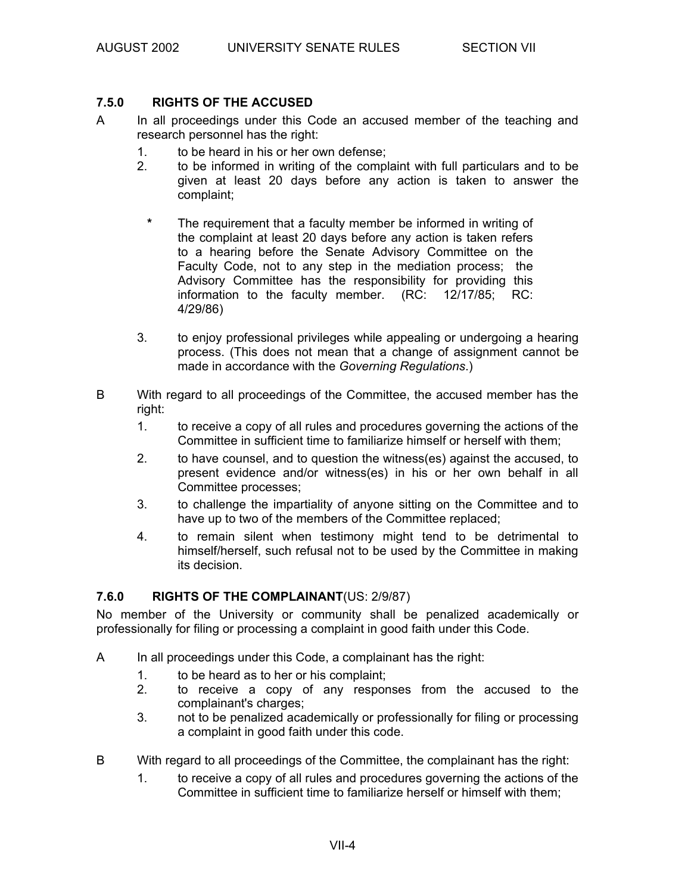#### **7.5.0 RIGHTS OF THE ACCUSED**

- A In all proceedings under this Code an accused member of the teaching and research personnel has the right:
	- 1. to be heard in his or her own defense;
	- 2. to be informed in writing of the complaint with full particulars and to be given at least 20 days before any action is taken to answer the complaint;
	- **\*** The requirement that a faculty member be informed in writing of the complaint at least 20 days before any action is taken refers to a hearing before the Senate Advisory Committee on the Faculty Code, not to any step in the mediation process; the Advisory Committee has the responsibility for providing this information to the faculty member. (RC: 12/17/85; RC: 4/29/86)
	- 3. to enjoy professional privileges while appealing or undergoing a hearing process. (This does not mean that a change of assignment cannot be made in accordance with the *Governing Regulations*.)
- B With regard to all proceedings of the Committee, the accused member has the right:
	- 1. to receive a copy of all rules and procedures governing the actions of the Committee in sufficient time to familiarize himself or herself with them;
	- 2. to have counsel, and to question the witness(es) against the accused, to present evidence and/or witness(es) in his or her own behalf in all Committee processes;
	- 3. to challenge the impartiality of anyone sitting on the Committee and to have up to two of the members of the Committee replaced;
	- 4. to remain silent when testimony might tend to be detrimental to himself/herself, such refusal not to be used by the Committee in making its decision.

#### **7.6.0 RIGHTS OF THE COMPLAINANT**(US: 2/9/87)

No member of the University or community shall be penalized academically or professionally for filing or processing a complaint in good faith under this Code.

- A In all proceedings under this Code, a complainant has the right:
	- 1. to be heard as to her or his complaint;
	- 2. to receive a copy of any responses from the accused to the complainant's charges:
	- 3. not to be penalized academically or professionally for filing or processing a complaint in good faith under this code.
- B With regard to all proceedings of the Committee, the complainant has the right:
	- 1. to receive a copy of all rules and procedures governing the actions of the Committee in sufficient time to familiarize herself or himself with them;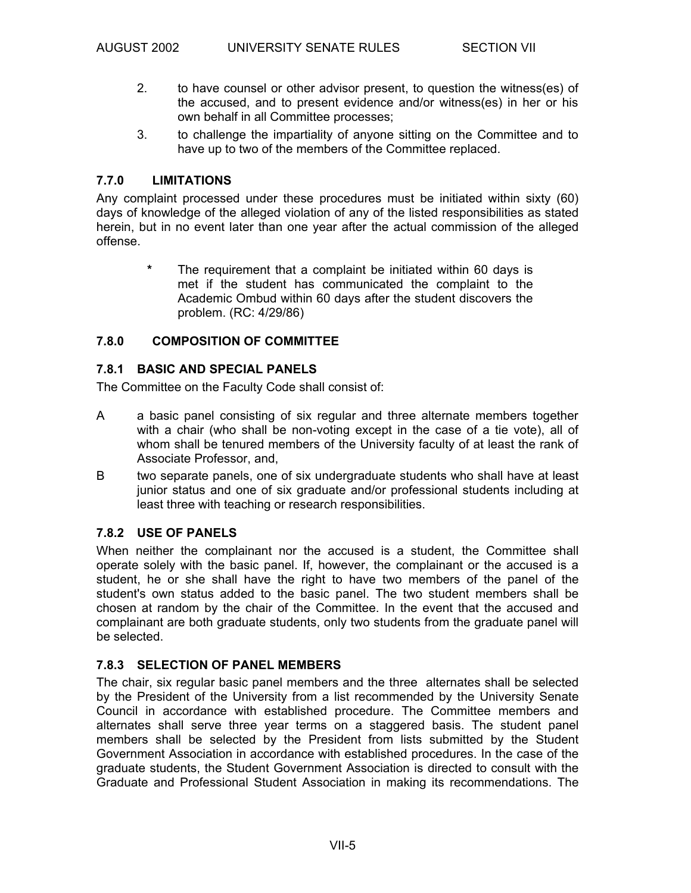- 2. to have counsel or other advisor present, to question the witness(es) of the accused, and to present evidence and/or witness(es) in her or his own behalf in all Committee processes;
- 3. to challenge the impartiality of anyone sitting on the Committee and to have up to two of the members of the Committee replaced.

# **7.7.0 LIMITATIONS**

Any complaint processed under these procedures must be initiated within sixty (60) days of knowledge of the alleged violation of any of the listed responsibilities as stated herein, but in no event later than one year after the actual commission of the alleged offense.

> **\*** The requirement that a complaint be initiated within 60 days is met if the student has communicated the complaint to the Academic Ombud within 60 days after the student discovers the problem. (RC: 4/29/86)

## **7.8.0 COMPOSITION OF COMMITTEE**

## **7.8.1 BASIC AND SPECIAL PANELS**

The Committee on the Faculty Code shall consist of:

- A a basic panel consisting of six regular and three alternate members together with a chair (who shall be non-voting except in the case of a tie vote), all of whom shall be tenured members of the University faculty of at least the rank of Associate Professor, and,
- B two separate panels, one of six undergraduate students who shall have at least junior status and one of six graduate and/or professional students including at least three with teaching or research responsibilities.

## **7.8.2 USE OF PANELS**

When neither the complainant nor the accused is a student, the Committee shall operate solely with the basic panel. If, however, the complainant or the accused is a student, he or she shall have the right to have two members of the panel of the student's own status added to the basic panel. The two student members shall be chosen at random by the chair of the Committee. In the event that the accused and complainant are both graduate students, only two students from the graduate panel will be selected.

## **7.8.3 SELECTION OF PANEL MEMBERS**

The chair, six regular basic panel members and the three alternates shall be selected by the President of the University from a list recommended by the University Senate Council in accordance with established procedure. The Committee members and alternates shall serve three year terms on a staggered basis. The student panel members shall be selected by the President from lists submitted by the Student Government Association in accordance with established procedures. In the case of the graduate students, the Student Government Association is directed to consult with the Graduate and Professional Student Association in making its recommendations. The